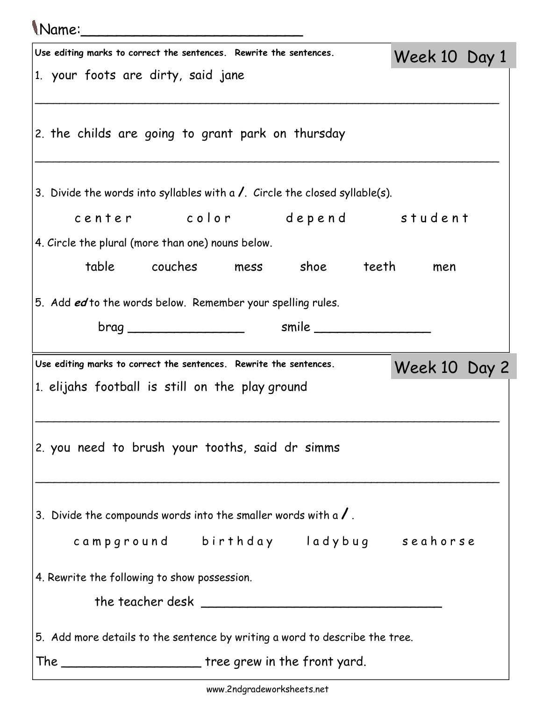## Name:\_\_\_\_\_\_\_\_\_\_\_\_\_\_\_\_\_\_\_\_\_\_\_\_\_

| Use editing marks to correct the sentences. Rewrite the sentences.                   | Week 10 Day 1 |  |
|--------------------------------------------------------------------------------------|---------------|--|
| 1. your foots are dirty, said jane                                                   |               |  |
| 2. the childs are going to grant park on thursday                                    |               |  |
| 3. Divide the words into syllables with a $\lambda$ . Circle the closed syllable(s). |               |  |
| center color depend student                                                          |               |  |
| 4. Circle the plural (more than one) nouns below.                                    |               |  |
| table couches mess shoe teeth                                                        | men           |  |
| 5. Add ed to the words below. Remember your spelling rules.                          |               |  |
|                                                                                      |               |  |
| Use editing marks to correct the sentences. Rewrite the sentences.                   |               |  |
| 1. elijahs football is still on the play ground                                      | Week 10 Day 2 |  |
|                                                                                      |               |  |
| 2. you need to brush your tooths, said dr simms                                      |               |  |
| 3. Divide the compounds words into the smaller words with a $\prime$ .               |               |  |
| campground birthday ladybug seahorse                                                 |               |  |
| 4. Rewrite the following to show possession.                                         |               |  |
|                                                                                      |               |  |
| 5. Add more details to the sentence by writing a word to describe the tree.          |               |  |
| The _____________________________ tree grew in the front yard.                       |               |  |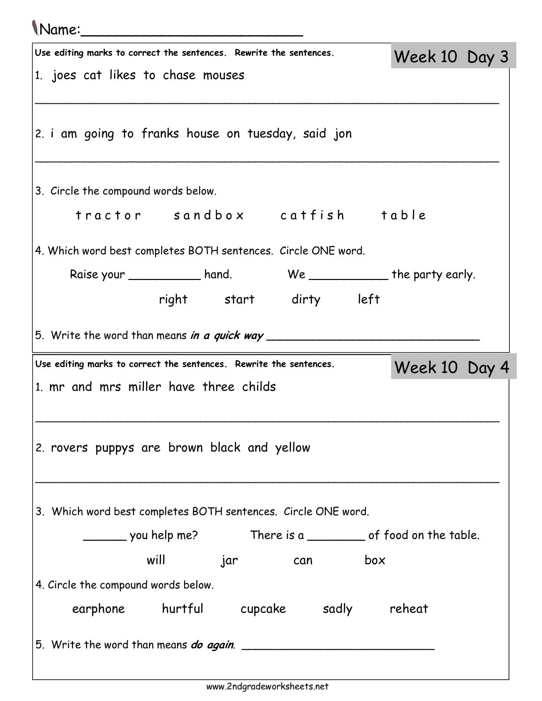## Name:\_\_\_\_\_\_\_\_\_\_\_\_\_\_\_\_\_\_\_\_\_\_\_\_\_

| Use editing marks to correct the sentences. Rewrite the sentences.  | Week 10 Day 3 |  |
|---------------------------------------------------------------------|---------------|--|
| 1. joes cat likes to chase mouses                                   |               |  |
| 2. i am going to franks house on tuesday, said jon                  |               |  |
| 3. Circle the compound words below.                                 |               |  |
| tractor sandbox catfish table                                       |               |  |
| 4. Which word best completes BOTH sentences. Circle ONE word.       |               |  |
| Raise your ____________ hand. We ____________ the party early.      |               |  |
| right start dirty left                                              |               |  |
| 5. Write the word than means <i>in a quick way</i> _________        |               |  |
| Use editing marks to correct the sentences. Rewrite the sentences.  | Week 10 Day 4 |  |
| 1. mr and mrs miller have three childs                              |               |  |
| 2. rovers puppys are brown black and yellow                         |               |  |
| 3. Which word best completes BOTH sentences. Circle ONE word.       |               |  |
| _________ you help me? There is a ___________ of food on the table. |               |  |
| will jar can box                                                    |               |  |
| 4. Circle the compound words below.                                 |               |  |
| earphone hurtful cupcake sadly reheat                               |               |  |
| 5. Write the word than means do again.                              |               |  |